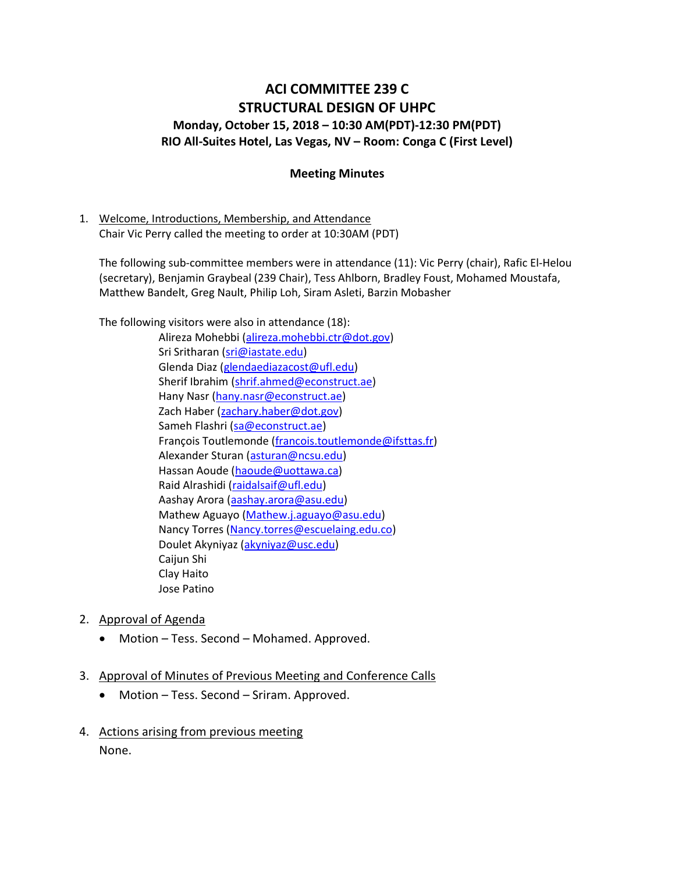# ACI COMMITTEE 239 C STRUCTURAL DESIGN OF UHPC Monday, October 15, 2018 – 10:30 AM(PDT)-12:30 PM(PDT) RIO All-Suites Hotel, Las Vegas, NV – Room: Conga C (First Level)

#### Meeting Minutes

1. Welcome, Introductions, Membership, and Attendance Chair Vic Perry called the meeting to order at 10:30AM (PDT)

The following sub-committee members were in attendance (11): Vic Perry (chair), Rafic El-Helou (secretary), Benjamin Graybeal (239 Chair), Tess Ahlborn, Bradley Foust, Mohamed Moustafa, Matthew Bandelt, Greg Nault, Philip Loh, Siram Asleti, Barzin Mobasher

The following visitors were also in attendance (18):

- Alireza Mohebbi (alireza.mohebbi.ctr@dot.gov) Sri Sritharan (sri@iastate.edu) Glenda Diaz (glendaediazacost@ufl.edu) Sherif Ibrahim (shrif.ahmed@econstruct.ae) Hany Nasr (hany.nasr@econstruct.ae) Zach Haber (zachary.haber@dot.gov) Sameh Flashri (sa@econstruct.ae) François Toutlemonde (francois.toutlemonde@ifsttas.fr) Alexander Sturan (asturan@ncsu.edu) Hassan Aoude (haoude@uottawa.ca) Raid Alrashidi (raidalsaif@ufl.edu) Aashay Arora (aashay.arora@asu.edu) Mathew Aguayo (Mathew.j.aguayo@asu.edu) Nancy Torres (Nancy.torres@escuelaing.edu.co) Doulet Akyniyaz (akyniyaz@usc.edu) Caijun Shi Clay Haito Jose Patino
- 2. Approval of Agenda
	- Motion Tess. Second Mohamed. Approved.
- 3. Approval of Minutes of Previous Meeting and Conference Calls
	- Motion Tess. Second Sriram. Approved.
- 4. Actions arising from previous meeting None.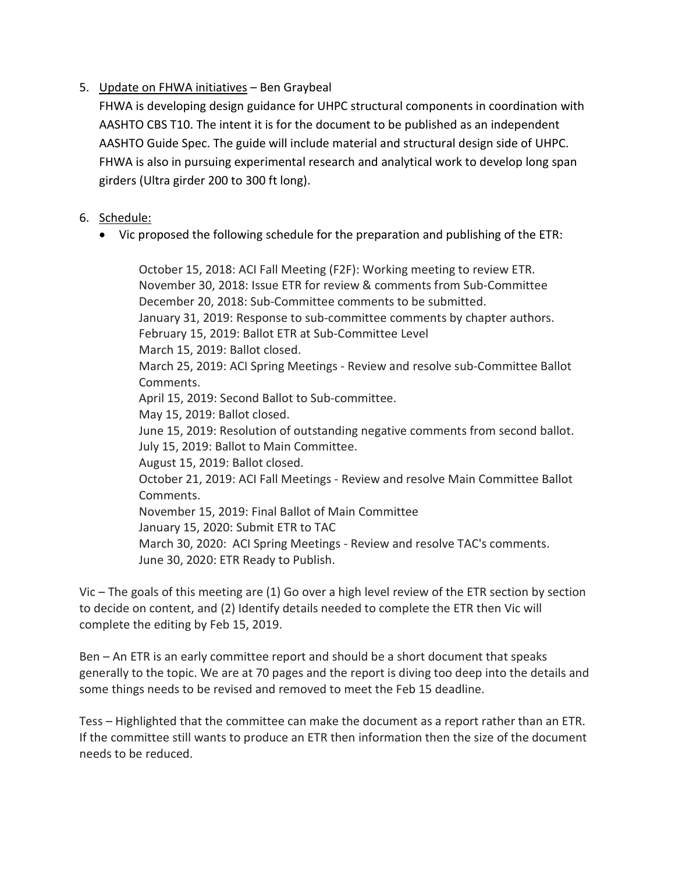# 5. Update on FHWA initiatives – Ben Graybeal

FHWA is developing design guidance for UHPC structural components in coordination with AASHTO CBS T10. The intent it is for the document to be published as an independent AASHTO Guide Spec. The guide will include material and structural design side of UHPC. FHWA is also in pursuing experimental research and analytical work to develop long span girders (Ultra girder 200 to 300 ft long).

### 6. Schedule:

Vic proposed the following schedule for the preparation and publishing of the ETR:

October 15, 2018: ACI Fall Meeting (F2F): Working meeting to review ETR. November 30, 2018: Issue ETR for review & comments from Sub-Committee December 20, 2018: Sub-Committee comments to be submitted. January 31, 2019: Response to sub-committee comments by chapter authors. February 15, 2019: Ballot ETR at Sub-Committee Level March 15, 2019: Ballot closed. March 25, 2019: ACI Spring Meetings - Review and resolve sub-Committee Ballot Comments. April 15, 2019: Second Ballot to Sub-committee. May 15, 2019: Ballot closed. June 15, 2019: Resolution of outstanding negative comments from second ballot. July 15, 2019: Ballot to Main Committee. August 15, 2019: Ballot closed. October 21, 2019: ACI Fall Meetings - Review and resolve Main Committee Ballot Comments. November 15, 2019: Final Ballot of Main Committee January 15, 2020: Submit ETR to TAC March 30, 2020: ACI Spring Meetings - Review and resolve TAC's comments. June 30, 2020: ETR Ready to Publish.

Vic – The goals of this meeting are (1) Go over a high level review of the ETR section by section to decide on content, and (2) Identify details needed to complete the ETR then Vic will complete the editing by Feb 15, 2019.

Ben – An ETR is an early committee report and should be a short document that speaks generally to the topic. We are at 70 pages and the report is diving too deep into the details and some things needs to be revised and removed to meet the Feb 15 deadline.

Tess – Highlighted that the committee can make the document as a report rather than an ETR. If the committee still wants to produce an ETR then information then the size of the document needs to be reduced.